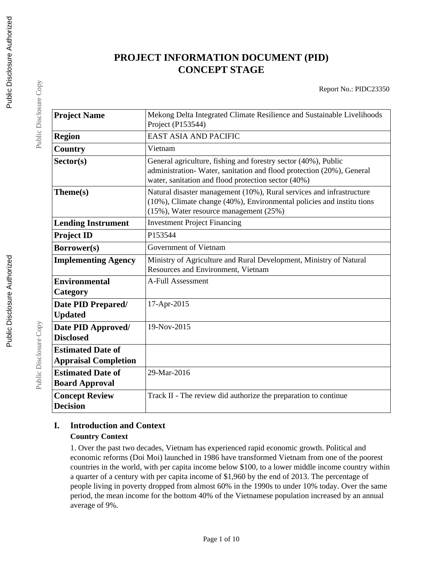# **PROJECT INFORMATION DOCUMENT (PID) CONCEPT STAGE**

| <b>Project Name</b>                                     | Mekong Delta Integrated Climate Resilience and Sustainable Livelihoods<br>Project (P153544)                                                                                                   |  |  |
|---------------------------------------------------------|-----------------------------------------------------------------------------------------------------------------------------------------------------------------------------------------------|--|--|
| <b>Region</b>                                           | <b>EAST ASIA AND PACIFIC</b>                                                                                                                                                                  |  |  |
| Country                                                 | Vietnam                                                                                                                                                                                       |  |  |
| Sector(s)                                               | General agriculture, fishing and forestry sector (40%), Public<br>administration-Water, sanitation and flood protection (20%), General<br>water, sanitation and flood protection sector (40%) |  |  |
| Theme(s)                                                | Natural disaster management (10%), Rural services and infrastructure<br>(10%), Climate change (40%), Environmental policies and institutions<br>$(15\%)$ , Water resource management $(25\%)$ |  |  |
| <b>Lending Instrument</b>                               | <b>Investment Project Financing</b>                                                                                                                                                           |  |  |
| <b>Project ID</b>                                       | P153544                                                                                                                                                                                       |  |  |
| Borrower(s)                                             | Government of Vietnam                                                                                                                                                                         |  |  |
| <b>Implementing Agency</b>                              | Ministry of Agriculture and Rural Development, Ministry of Natural<br>Resources and Environment, Vietnam                                                                                      |  |  |
| <b>Environmental</b><br>Category                        | A-Full Assessment                                                                                                                                                                             |  |  |
| Date PID Prepared/<br><b>Updated</b>                    | 17-Apr-2015                                                                                                                                                                                   |  |  |
| Date PID Approved/<br><b>Disclosed</b>                  | 19-Nov-2015                                                                                                                                                                                   |  |  |
| <b>Estimated Date of</b><br><b>Appraisal Completion</b> |                                                                                                                                                                                               |  |  |
| <b>Estimated Date of</b><br><b>Board Approval</b>       | 29-Mar-2016                                                                                                                                                                                   |  |  |
| <b>Concept Review</b><br><b>Decision</b>                | Track II - The review did authorize the preparation to continue                                                                                                                               |  |  |

## **I. Introduction and Context Country Context**

1. Over the past two decades, Vietnam has experienced rapid economic growth. Political and economic reforms (Doi Moi) launched in 1986 have transformed Vietnam from one of the poorest countries in the world, with per capita income below \$100, to a lower middle income country within a quarter of a century with per capita income of \$1,960 by the end of 2013. The percentage of people living in poverty dropped from almost 60% in the 1990s to under 10% today. Over the same period, the mean income for the bottom 40% of the Vietnamese population increased by an annual average of 9%.

Public Disclosure Copy

Public Disclosure Copy

Public Disclosure Copy

Public Disclosure Copy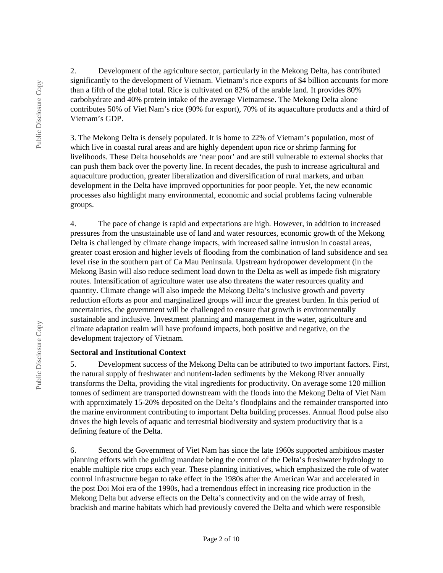2. Development of the agriculture sector, particularly in the Mekong Delta, has contributed significantly to the development of Vietnam. Vietnam's rice exports of \$4 billion accounts for more than a fifth of the global total. Rice is cultivated on 82% of the arable land. It provides 80% carbohydrate and 40% protein intake of the average Vietnamese. The Mekong Delta alone contributes 50% of Viet Nam's rice (90% for export), 70% of its aquaculture products and a third of Vietnam's GDP.

3. The Mekong Delta is densely populated. It is home to 22% of Vietnam's population, most of which live in coastal rural areas and are highly dependent upon rice or shrimp farming for livelihoods. These Delta households are 'near poor' and are still vulnerable to external shocks that can push them back over the poverty line. In recent decades, the push to increase agricultural and aquaculture production, greater liberalization and diversification of rural markets, and urban development in the Delta have improved opportunities for poor people. Yet, the new economic processes also highlight many environmental, economic and social problems facing vulnerable groups.

4. The pace of change is rapid and expectations are high. However, in addition to increased pressures from the unsustainable use of land and water resources, economic growth of the Mekong Delta is challenged by climate change impacts, with increased saline intrusion in coastal areas, greater coast erosion and higher levels of flooding from the combination of land subsidence and sea level rise in the southern part of Ca Mau Peninsula. Upstream hydropower development (in the Mekong Basin will also reduce sediment load down to the Delta as well as impede fish migratory routes. Intensification of agriculture water use also threatens the water resources quality and quantity. Climate change will also impede the Mekong Delta's inclusive growth and poverty reduction efforts as poor and marginalized groups will incur the greatest burden. In this period of uncertainties, the government will be challenged to ensure that growth is environmentally sustainable and inclusive. Investment planning and management in the water, agriculture and climate adaptation realm will have profound impacts, both positive and negative, on the development trajectory of Vietnam.

#### **Sectoral and Institutional Context**

5. Development success of the Mekong Delta can be attributed to two important factors. First, the natural supply of freshwater and nutrient-laden sediments by the Mekong River annually transforms the Delta, providing the vital ingredients for productivity. On average some 120 million tonnes of sediment are transported downstream with the floods into the Mekong Delta of Viet Nam with approximately 15-20% deposited on the Delta's floodplains and the remainder transported into the marine environment contributing to important Delta building processes. Annual flood pulse also drives the high levels of aquatic and terrestrial biodiversity and system productivity that is a defining feature of the Delta.

6. Second the Government of Viet Nam has since the late 1960s supported ambitious master planning efforts with the guiding mandate being the control of the Delta's freshwater hydrology to enable multiple rice crops each year. These planning initiatives, which emphasized the role of water control infrastructure began to take effect in the 1980s after the American War and accelerated in the post Doi Moi era of the 1990s, had a tremendous effect in increasing rice production in the Mekong Delta but adverse effects on the Delta's connectivity and on the wide array of fresh, brackish and marine habitats which had previously covered the Delta and which were responsible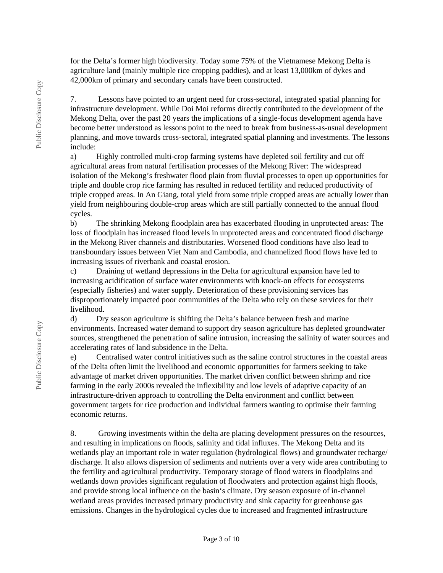for the Delta's former high biodiversity. Today some 75% of the Vietnamese Mekong Delta is agriculture land (mainly multiple rice cropping paddies), and at least 13,000km of dykes and 42,000km of primary and secondary canals have been constructed.

7. Lessons have pointed to an urgent need for cross-sectoral, integrated spatial planning for infrastructure development. While Doi Moi reforms directly contributed to the development of the Mekong Delta, over the past 20 years the implications of a single-focus development agenda have become better understood as lessons point to the need to break from business-as-usual development planning, and move towards cross-sectoral, integrated spatial planning and investments. The lessons include:

a) Highly controlled multi-crop farming systems have depleted soil fertility and cut off agricultural areas from natural fertilisation processes of the Mekong River: The widespread isolation of the Mekong's freshwater flood plain from fluvial processes to open up opportunities for triple and double crop rice farming has resulted in reduced fertility and reduced productivity of triple cropped areas. In An Giang, total yield from some triple cropped areas are actually lower than yield from neighbouring double-crop areas which are still partially connected to the annual flood cycles.

b) The shrinking Mekong floodplain area has exacerbated flooding in unprotected areas: The loss of floodplain has increased flood levels in unprotected areas and concentrated flood discharge in the Mekong River channels and distributaries. Worsened flood conditions have also lead to transboundary issues between Viet Nam and Cambodia, and channelized flood flows have led to increasing issues of riverbank and coastal erosion.

c) Draining of wetland depressions in the Delta for agricultural expansion have led to increasing acidification of surface water environments with knock-on effects for ecosystems (especially fisheries) and water supply. Deterioration of these provisioning services has disproportionately impacted poor communities of the Delta who rely on these services for their livelihood.

d) Dry season agriculture is shifting the Delta's balance between fresh and marine environments. Increased water demand to support dry season agriculture has depleted groundwater sources, strengthened the penetration of saline intrusion, increasing the salinity of water sources and accelerating rates of land subsidence in the Delta.

e) Centralised water control initiatives such as the saline control structures in the coastal areas of the Delta often limit the livelihood and economic opportunities for farmers seeking to take advantage of market driven opportunities. The market driven conflict between shrimp and rice farming in the early 2000s revealed the inflexibility and low levels of adaptive capacity of an infrastructure-driven approach to controlling the Delta environment and conflict between government targets for rice production and individual farmers wanting to optimise their farming economic returns.

8. Growing investments within the delta are placing development pressures on the resources, and resulting in implications on floods, salinity and tidal influxes. The Mekong Delta and its wetlands play an important role in water regulation (hydrological flows) and groundwater recharge/ discharge. It also allows dispersion of sediments and nutrients over a very wide area contributing to the fertility and agricultural productivity. Temporary storage of flood waters in floodplains and wetlands down provides significant regulation of floodwaters and protection against high floods, and provide strong local influence on the basin's climate. Dry season exposure of in‐channel wetland areas provides increased primary productivity and sink capacity for greenhouse gas emissions. Changes in the hydrological cycles due to increased and fragmented infrastructure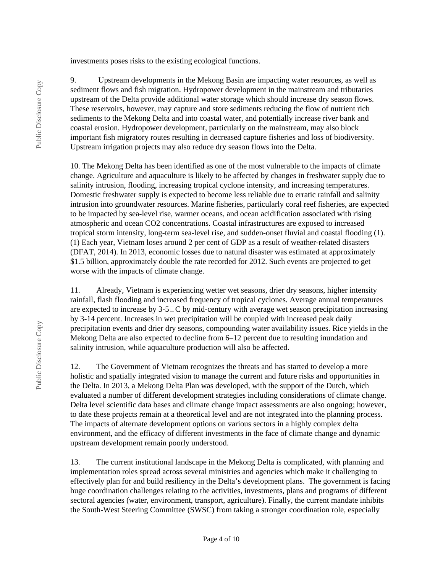investments poses risks to the existing ecological functions.

9. Upstream developments in the Mekong Basin are impacting water resources, as well as sediment flows and fish migration. Hydropower development in the mainstream and tributaries upstream of the Delta provide additional water storage which should increase dry season flows. These reservoirs, however, may capture and store sediments reducing the flow of nutrient rich sediments to the Mekong Delta and into coastal water, and potentially increase river bank and coastal erosion. Hydropower development, particularly on the mainstream, may also block important fish migratory routes resulting in decreased capture fisheries and loss of biodiversity. Upstream irrigation projects may also reduce dry season flows into the Delta.

10. The Mekong Delta has been identified as one of the most vulnerable to the impacts of climate change. Agriculture and aquaculture is likely to be affected by changes in freshwater supply due to salinity intrusion, flooding, increasing tropical cyclone intensity, and increasing temperatures. Domestic freshwater supply is expected to become less reliable due to erratic rainfall and salinity intrusion into groundwater resources. Marine fisheries, particularly coral reef fisheries, are expected to be impacted by sea-level rise, warmer oceans, and ocean acidification associated with rising atmospheric and ocean CO2 concentrations. Coastal infrastructures are exposed to increased tropical storm intensity, long-term sea-level rise, and sudden-onset fluvial and coastal flooding (1). (1) Each year, Vietnam loses around 2 per cent of GDP as a result of weather-related disasters (DFAT, 2014). In 2013, economic losses due to natural disaster was estimated at approximately \$1.5 billion, approximately double the rate recorded for 2012. Such events are projected to get worse with the impacts of climate change.

11. Already, Vietnam is experiencing wetter wet seasons, drier dry seasons, higher intensity rainfall, flash flooding and increased frequency of tropical cyclones. Average annual temperatures are expected to increase by  $3-5\Box C$  by mid-century with average wet season precipitation increasing by 3-14 percent. Increases in wet precipitation will be coupled with increased peak daily precipitation events and drier dry seasons, compounding water availability issues. Rice yields in the Mekong Delta are also expected to decline from 6–12 percent due to resulting inundation and salinity intrusion, while aquaculture production will also be affected.

12. The Government of Vietnam recognizes the threats and has started to develop a more holistic and spatially integrated vision to manage the current and future risks and opportunities in the Delta. In 2013, a Mekong Delta Plan was developed, with the support of the Dutch, which evaluated a number of different development strategies including considerations of climate change. Delta level scientific data bases and climate change impact assessments are also ongoing; however, to date these projects remain at a theoretical level and are not integrated into the planning process. The impacts of alternate development options on various sectors in a highly complex delta environment, and the efficacy of different investments in the face of climate change and dynamic upstream development remain poorly understood.

13. The current institutional landscape in the Mekong Delta is complicated, with planning and implementation roles spread across several ministries and agencies which make it challenging to effectively plan for and build resiliency in the Delta's development plans. The government is facing huge coordination challenges relating to the activities, investments, plans and programs of different sectoral agencies (water, environment, transport, agriculture). Finally, the current mandate inhibits the South-West Steering Committee (SWSC) from taking a stronger coordination role, especially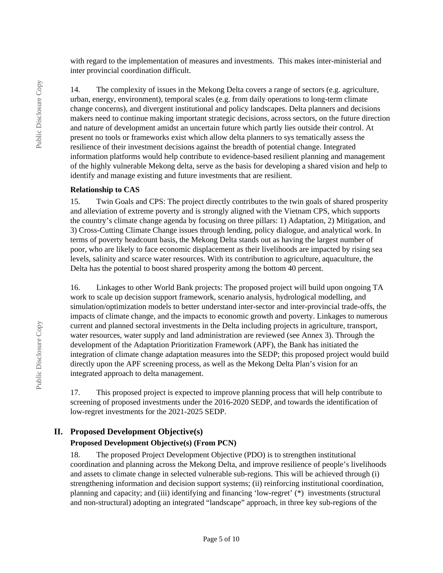with regard to the implementation of measures and investments. This makes inter-ministerial and inter provincial coordination difficult.

14. The complexity of issues in the Mekong Delta covers a range of sectors (e.g. agriculture, urban, energy, environment), temporal scales (e.g. from daily operations to long-term climate change concerns), and divergent institutional and policy landscapes. Delta planners and decisions makers need to continue making important strategic decisions, across sectors, on the future direction and nature of development amidst an uncertain future which partly lies outside their control. At present no tools or frameworks exist which allow delta planners to sys tematically assess the resilience of their investment decisions against the breadth of potential change. Integrated information platforms would help contribute to evidence-based resilient planning and management of the highly vulnerable Mekong delta, serve as the basis for developing a shared vision and help to identify and manage existing and future investments that are resilient.

#### **Relationship to CAS**

15. Twin Goals and CPS: The project directly contributes to the twin goals of shared prosperity and alleviation of extreme poverty and is strongly aligned with the Vietnam CPS, which supports the country's climate change agenda by focusing on three pillars: 1) Adaptation, 2) Mitigation, and 3) Cross-Cutting Climate Change issues through lending, policy dialogue, and analytical work. In terms of poverty headcount basis, the Mekong Delta stands out as having the largest number of poor, who are likely to face economic displacement as their livelihoods are impacted by rising sea levels, salinity and scarce water resources. With its contribution to agriculture, aquaculture, the Delta has the potential to boost shared prosperity among the bottom 40 percent.

16. Linkages to other World Bank projects: The proposed project will build upon ongoing TA work to scale up decision support framework, scenario analysis, hydrological modelling, and simulation/optimization models to better understand inter-sector and inter-provincial trade-offs, the impacts of climate change, and the impacts to economic growth and poverty. Linkages to numerous current and planned sectoral investments in the Delta including projects in agriculture, transport, water resources, water supply and land administration are reviewed (see Annex 3). Through the development of the Adaptation Prioritization Framework (APF), the Bank has initiated the integration of climate change adaptation measures into the SEDP; this proposed project would build directly upon the APF screening process, as well as the Mekong Delta Plan's vision for an integrated approach to delta management.

17. This proposed project is expected to improve planning process that will help contribute to screening of proposed investments under the 2016-2020 SEDP, and towards the identification of low-regret investments for the 2021-2025 SEDP.

# **II. Proposed Development Objective(s)**

#### **Proposed Development Objective(s) (From PCN)**

18. The proposed Project Development Objective (PDO) is to strengthen institutional coordination and planning across the Mekong Delta, and improve resilience of people's livelihoods and assets to climate change in selected vulnerable sub-regions. This will be achieved through (i) strengthening information and decision support systems; (ii) reinforcing institutional coordination, planning and capacity; and (iii) identifying and financing 'low-regret' (\*) investments (structural and non-structural) adopting an integrated "landscape" approach, in three key sub-regions of the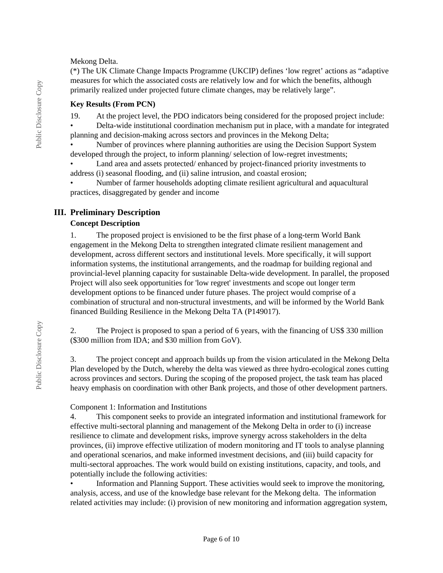#### Mekong Delta.

(\*) The UK Climate Change Impacts Programme (UKCIP) defines 'low regret' actions as "adaptive measures for which the associated costs are relatively low and for which the benefits, although primarily realized under projected future climate changes, may be relatively large".

#### **Key Results (From PCN)**

19. At the project level, the PDO indicators being considered for the proposed project include:

• Delta-wide institutional coordination mechanism put in place, with a mandate for integrated planning and decision-making across sectors and provinces in the Mekong Delta;

• Number of provinces where planning authorities are using the Decision Support System developed through the project, to inform planning/ selection of low-regret investments;

Land area and assets protected/ enhanced by project-financed priority investments to address (i) seasonal flooding, and (ii) saline intrusion, and coastal erosion;

• Number of farmer households adopting climate resilient agricultural and aquacultural practices, disaggregated by gender and income

## **III. Preliminary Description**

#### **Concept Description**

1. The proposed project is envisioned to be the first phase of a long-term World Bank engagement in the Mekong Delta to strengthen integrated climate resilient management and development, across different sectors and institutional levels. More specifically, it will support information systems, the institutional arrangements, and the roadmap for building regional and provincial-level planning capacity for sustainable Delta-wide development. In parallel, the proposed Project will also seek opportunities for 'low regret' investments and scope out longer term development options to be financed under future phases. The project would comprise of a combination of structural and non-structural investments, and will be informed by the World Bank financed Building Resilience in the Mekong Delta TA (P149017).

2. The Project is proposed to span a period of 6 years, with the financing of US\$ 330 million (\$300 million from IDA; and \$30 million from GoV).

3. The project concept and approach builds up from the vision articulated in the Mekong Delta Plan developed by the Dutch, whereby the delta was viewed as three hydro-ecological zones cutting across provinces and sectors. During the scoping of the proposed project, the task team has placed heavy emphasis on coordination with other Bank projects, and those of other development partners.

#### Component 1: Information and Institutions

4. This component seeks to provide an integrated information and institutional framework for effective multi-sectoral planning and management of the Mekong Delta in order to (i) increase resilience to climate and development risks, improve synergy across stakeholders in the delta provinces, (ii) improve effective utilization of modern monitoring and IT tools to analyse planning and operational scenarios, and make informed investment decisions, and (iii) build capacity for multi-sectoral approaches. The work would build on existing institutions, capacity, and tools, and potentially include the following activities:

• Information and Planning Support. These activities would seek to improve the monitoring, analysis, access, and use of the knowledge base relevant for the Mekong delta. The information related activities may include: (i) provision of new monitoring and information aggregation system,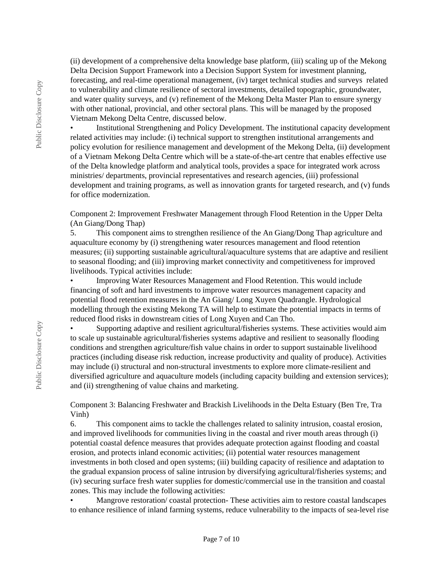(ii) development of a comprehensive delta knowledge base platform, (iii) scaling up of the Mekong Delta Decision Support Framework into a Decision Support System for investment planning, forecasting, and real-time operational management, (iv) target technical studies and surveys related to vulnerability and climate resilience of sectoral investments, detailed topographic, groundwater, and water quality surveys, and (v) refinement of the Mekong Delta Master Plan to ensure synergy with other national, provincial, and other sectoral plans. This will be managed by the proposed Vietnam Mekong Delta Centre, discussed below.

• Institutional Strengthening and Policy Development. The institutional capacity development related activities may include: (i) technical support to strengthen institutional arrangements and policy evolution for resilience management and development of the Mekong Delta, (ii) development of a Vietnam Mekong Delta Centre which will be a state-of-the-art centre that enables effective use of the Delta knowledge platform and analytical tools, provides a space for integrated work across ministries/ departments, provincial representatives and research agencies, (iii) professional development and training programs, as well as innovation grants for targeted research, and (v) funds for office modernization.

Component 2: Improvement Freshwater Management through Flood Retention in the Upper Delta (An Giang/Dong Thap)

5. This component aims to strengthen resilience of the An Giang/Dong Thap agriculture and aquaculture economy by (i) strengthening water resources management and flood retention measures; (ii) supporting sustainable agricultural/aquaculture systems that are adaptive and resilient to seasonal flooding; and (iii) improving market connectivity and competitiveness for improved livelihoods. Typical activities include:

• Improving Water Resources Management and Flood Retention. This would include financing of soft and hard investments to improve water resources management capacity and potential flood retention measures in the An Giang/ Long Xuyen Quadrangle. Hydrological modelling through the existing Mekong TA will help to estimate the potential impacts in terms of reduced flood risks in downstream cities of Long Xuyen and Can Tho.

• Supporting adaptive and resilient agricultural/fisheries systems. These activities would aim to scale up sustainable agricultural/fisheries systems adaptive and resilient to seasonally flooding conditions and strengthen agriculture/fish value chains in order to support sustainable livelihood practices (including disease risk reduction, increase productivity and quality of produce). Activities may include (i) structural and non-structural investments to explore more climate-resilient and diversified agriculture and aquaculture models (including capacity building and extension services); and (ii) strengthening of value chains and marketing.

Component 3: Balancing Freshwater and Brackish Livelihoods in the Delta Estuary (Ben Tre, Tra Vinh)

6. This component aims to tackle the challenges related to salinity intrusion, coastal erosion, and improved livelihoods for communities living in the coastal and river mouth areas through (i) potential coastal defence measures that provides adequate protection against flooding and coastal erosion, and protects inland economic activities; (ii) potential water resources management investments in both closed and open systems; (iii) building capacity of resilience and adaptation to the gradual expansion process of saline intrusion by diversifying agricultural/fisheries systems; and (iv) securing surface fresh water supplies for domestic/commercial use in the transition and coastal zones. This may include the following activities:

• Mangrove restoration/ coastal protection- These activities aim to restore coastal landscapes to enhance resilience of inland farming systems, reduce vulnerability to the impacts of sea-level rise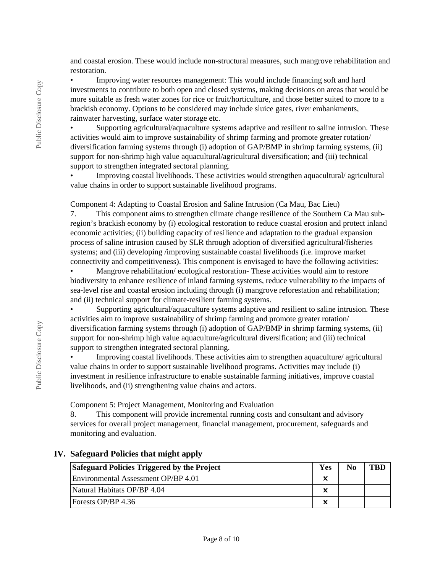and coastal erosion. These would include non-structural measures, such mangrove rehabilitation and restoration.

• Improving water resources management: This would include financing soft and hard investments to contribute to both open and closed systems, making decisions on areas that would be more suitable as fresh water zones for rice or fruit/horticulture, and those better suited to more to a brackish economy. Options to be considered may include sluice gates, river embankments, rainwater harvesting, surface water storage etc.

• Supporting agricultural/aquaculture systems adaptive and resilient to saline intrusion. These activities would aim to improve sustainability of shrimp farming and promote greater rotation/ diversification farming systems through (i) adoption of GAP/BMP in shrimp farming systems, (ii) support for non-shrimp high value aquacultural/agricultural diversification; and (iii) technical support to strengthen integrated sectoral planning.

• Improving coastal livelihoods. These activities would strengthen aquacultural/ agricultural value chains in order to support sustainable livelihood programs.

Component 4: Adapting to Coastal Erosion and Saline Intrusion (Ca Mau, Bac Lieu)

7. This component aims to strengthen climate change resilience of the Southern Ca Mau subregion's brackish economy by (i) ecological restoration to reduce coastal erosion and protect inland economic activities; (ii) building capacity of resilience and adaptation to the gradual expansion process of saline intrusion caused by SLR through adoption of diversified agricultural/fisheries systems; and (iii) developing /improving sustainable coastal livelihoods (i.e. improve market connectivity and competitiveness). This component is envisaged to have the following activities:

• Mangrove rehabilitation/ ecological restoration- These activities would aim to restore biodiversity to enhance resilience of inland farming systems, reduce vulnerability to the impacts of sea-level rise and coastal erosion including through (i) mangrove reforestation and rehabilitation; and (ii) technical support for climate-resilient farming systems.

• Supporting agricultural/aquaculture systems adaptive and resilient to saline intrusion. These activities aim to improve sustainability of shrimp farming and promote greater rotation/ diversification farming systems through (i) adoption of GAP/BMP in shrimp farming systems, (ii) support for non-shrimp high value aquaculture/agricultural diversification; and (iii) technical support to strengthen integrated sectoral planning.

• Improving coastal livelihoods. These activities aim to strengthen aquaculture/ agricultural value chains in order to support sustainable livelihood programs. Activities may include (i) investment in resilience infrastructure to enable sustainable farming initiatives, improve coastal livelihoods, and (ii) strengthening value chains and actors.

Component 5: Project Management, Monitoring and Evaluation

8. This component will provide incremental running costs and consultant and advisory services for overall project management, financial management, procurement, safeguards and monitoring and evaluation.

#### **IV. Safeguard Policies that might apply**

| Safeguard Policies Triggered by the Project |   | No |  |
|---------------------------------------------|---|----|--|
| Environmental Assessment OP/BP 4.01         |   |    |  |
| Natural Habitats OP/BP 4.04                 | v |    |  |
| Forests OP/BP 4.36                          |   |    |  |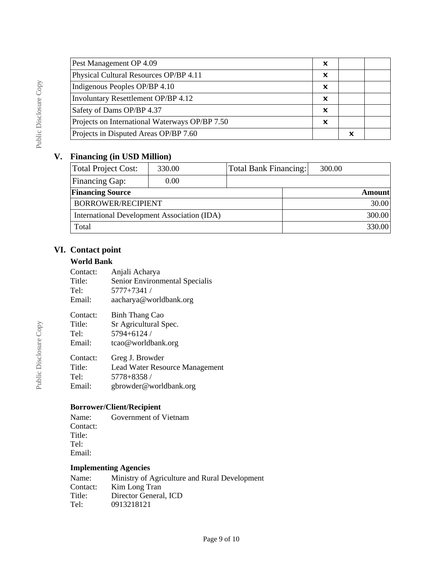| Pest Management OP 4.09                        | x |   |  |
|------------------------------------------------|---|---|--|
| Physical Cultural Resources OP/BP 4.11         | x |   |  |
| Indigenous Peoples OP/BP 4.10                  | x |   |  |
| Involuntary Resettlement OP/BP 4.12            | x |   |  |
| Safety of Dams OP/BP 4.37                      | x |   |  |
| Projects on International Waterways OP/BP 7.50 | x |   |  |
| Projects in Disputed Areas OP/BP 7.60          |   | x |  |

## **V. Financing (in USD Million)**

| Total Project Cost:                         | 330.00 | <b>Total Bank Financing:</b> | 300.00        |  |
|---------------------------------------------|--------|------------------------------|---------------|--|
| Financing Gap:                              | 0.00   |                              |               |  |
| <b>Financing Source</b>                     |        |                              | <b>Amount</b> |  |
| BORROWER/RECIPIENT                          |        |                              | 30.00         |  |
| International Development Association (IDA) |        |                              | 300.00        |  |
| Total                                       |        |                              | 330.00        |  |

## **VI. Contact point**

#### **World Bank**

| Contact:<br>Title:<br>Tel:<br>Email: | Anjali Acharya<br>Senior Environmental Specialis<br>5777+7341 /<br>aacharya@worldbank.org |
|--------------------------------------|-------------------------------------------------------------------------------------------|
|                                      |                                                                                           |
| Contact:                             | Binh Thang Cao                                                                            |
| Title:                               | Sr Agricultural Spec.                                                                     |
| Tel:                                 | 5794+6124 /                                                                               |
| Email:                               | tcao@worldbank.org                                                                        |
| Contact:                             | Greg J. Browder                                                                           |
| Title:                               | Lead Water Resource Management                                                            |
| Tel:                                 | 5778+8358 /                                                                               |
| Email:                               | gbrowder@worldbank.org                                                                    |

## **Borrower/Client/Recipient**

Name: Government of Vietnam Contact: Title: Tel: Email:

## **Implementing Agencies**

| Ministry of Agriculture and Rural Development |
|-----------------------------------------------|
| Kim Long Tran                                 |
| Director General, ICD                         |
| 0913218121                                    |
|                                               |